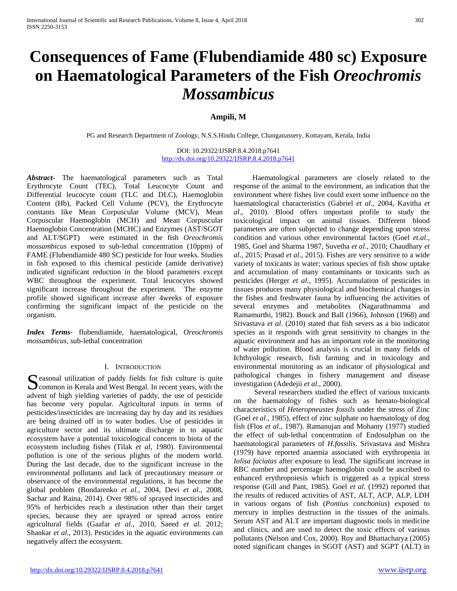# **Consequences of Fame (Flubendiamide 480 sc) Exposure on Haematological Parameters of the Fish** *Oreochromis Mossambicus*

# **Ampili, M**

PG and Research Department of Zoology, N.S.S.Hindu College, Changanassery, Kottayam, Kerala, India

DOI: 10.29322/IJSRP.8.4.2018.p7641 <http://dx.doi.org/10.29322/IJSRP.8.4.2018.p7641>

*Abstract***-** The haematological parameters such as Total Erythrocyte Count (TEC), Total Leucocyte Count and Differential leucocyte count (TLC and DLC), Haemoglobin Content (Hb), Packed Cell Volume (PCV), the Erythrocyte constants like Mean Corpuscular Volume (MCV), Mean Corpuscular Haemoglobin (MCH) and Mean Corpuscular Haemoglobin Concentration (MCHC) and Enzymes (AST/SGOT and ALT/SGPT) were estimated in the fish *Oreochromis mossambicus* exposed to sub-lethal concentration (10ppm) of FAME (Flubendiamide 480 SC) pesticide for four weeks. Studies in fish exposed to this chemical pesticide (amide derivative) indicated significant reduction in the blood parameters except WBC throughout the experiment. Total leucocytes showed significant increase throughout the experiment. The enzyme profile showed significant increase after 4weeks of exposure confirming the significant impact of the pesticide on the organism.

*Index Terms*- flubendiamide, haematological, *Oreochromis mossambicus,* sub-lethal concentration

## I. INTRODUCTION

 $\Gamma$  easonal utilization of paddy fields for fish culture is quite Seasonal utilization of paddy fields for fish culture is quite<br>
common in Kerala and West Bengal. In recent years, with the advent of high yielding varieties of paddy, the use of pesticide has become very popular. Agricultural inputs in terms of pesticides/insecticides are increasing day by day and its residues are being drained off in to water bodies. Use of pesticides in agriculture sector and its ultimate discharge in to aquatic ecosystem have a potential toxicological concern to biota of the ecosystem including fishes (Tilak *et al*, 1980). Environmental pollution is one of the serious plights of the modern world. During the last decade, due to the significant increase in the environmental pollutants and lack of precautionary measure or observance of the environmental regulations, it has become the global problem (Bondarenko *et al.,* 2004, Devi *et al*., 2008, Sachar and Raina, 2014). Over 98% of sprayed insecticides and 95% of herbicides reach a destination other than their target species, because they are sprayed or spread across entire agricultural fields (Gaafar *et al*., 2010, Saeed *et al.* 2012; Shankar *et al.,* 2013). Pesticides in the aquatic environments can negatively affect the ecosystem.

 Haematological parameters are closely related to the response of the animal to the environment, an indication that the environment where fishes live could exert some influence on the haematological characteristics (Gabriel *et al*., 2004, Kavitha *et al*., 2010). Blood offers important profile to study the toxicological impact on animal tissues. Different blood parameters are often subjected to change depending upon stress condition and various other environmental factors (Goel *et.al*., 1985, Goel and Sharma 1987, Suvetha *et al*., 2010; Chaudhary *et al*., 2015; Prasad *et al*., 2015). Fishes are very sensitive to a wide variety of toxicants in water; various species of fish show uptake and accumulation of many contaminants or toxicants such as pesticides (Herger *et al.,* 1995). Accumulation of pesticides in tissues produces many physiological and biochemical changes in the fishes and freshwater fauna by influencing the activities of several enzymes and metabolites (Nagarathnamma and Ramamurthi, 1982). Bouck and Ball (1966), Johnson (1968) and Srivastava *et al*. (2010) stated that fish severs as a bio indicator species as it responds with great sensitivity to changes in the aquatic environment and has an important role in the monitoring of water pollution. Blood analysis is crucial in many fields of Ichthyologic research, fish farming and in toxicology and environmental monitoring as an indicator of physiological and pathological changes in fishery management and disease investigation (Adedejii *et al*., 2000).

 Several researchers studied the effect of various toxicants on the haematology of fishes such as hemato-biological characteristics of *Heteropneustes fossils* under the stress of Zinc (Goel *et al*., 1985), effect of zinc sulphate on haematology of dog fish (Flos *et al*., 1987). Ramanujan and Mohanty (1977) studied the effect of sub-lethal concentration of Endosulphan on the haematological parameters of *H.fossilis*. Srivastava and Mishra (1979) have reported anaemia associated with erythropenia in *Iolisa faciatas* after exposure to lead. The significant increase in RBC number and percentage haemoglobin could be ascribed to enhanced erythropoiesis which is triggered as a typical stress response (Gill and Pant, 1985). Goel *et al*. (1992) reported that the results of reduced activities of AST, ALT, ACP, ALP, LDH in various organs of fish (*Pontius conchonius*) exposed to mercury in implies destruction in the tissues of the animals. Serum AST and ALT are important diagnostic tools in medicine and clinics, and are used to detect the toxic effects of various pollutants (Nelson and Cox, 2000). Roy and Bhattacharya (2005) noted significant changes in SGOT (AST) and SGPT (ALT) in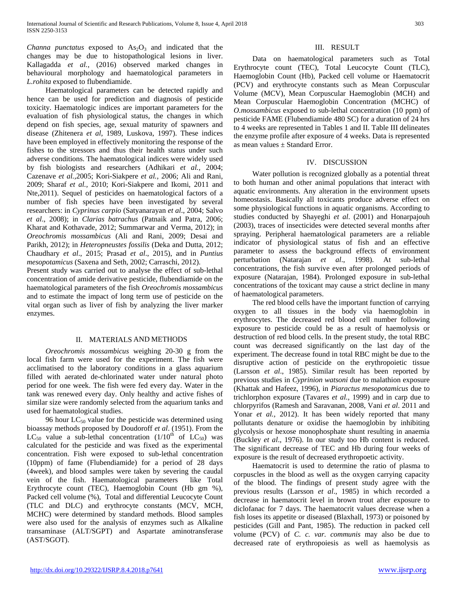*Channa punctatus* exposed to  $As<sub>2</sub>O<sub>3</sub>$  and indicated that the changes may be due to histopathological lesions in liver. Kallagadda *et al.*, (2016) observed marked changes in behavioural morphology and haematological parameters in *L.rohita* exposed to flubendiamide.

 Haematological parameters can be detected rapidly and hence can be used for prediction and diagnosis of pesticide toxicity. Haematologic indices are important parameters for the evaluation of fish physiological status, the changes in which depend on fish species, age, sexual maturity of spawners and disease (Zhitenera *et al*, 1989, Luskova, 1997). These indices have been employed in effectively monitoring the response of the fishes to the stressors and thus their health status under such adverse conditions. The haematological indices were widely used by fish biologists and researchers (Adhikari *et al.,* 2004; Cazenave *et al.,*2005; Kori-Siakpere *et al.,* 2006; Ali and Rani, 2009; Sharaf *et al.,* 2010; Kori-Siakpere and Ikomi, 2011 and Nte*,*2011). Sequel of pesticides on haematological factors of a number of fish species have been investigated by several researchers: in *Cyprinus carpio* (Satyanarayan *et al*., 2004; Salvo *et al*., 2008); in *Clarias batrachus* (Patnaik and Patra, 2006; Kharat and Kothavade, 2012; Summarwar and Verma, 2012); in *Oreochromis mossambicus* (Ali and Rani, 2009; Desai and Parikh, 2012); in *Heteropneustes fossilis* (Deka and Dutta, 2012; Chaudhary *et al*., 2015; Prasad *et al*., 2015), and in *Puntius mesopotamicus* (Saxena and Seth, 2002; Carraschi, 2012).

Present study was carried out to analyse the effect of sub-lethal concentration of amide derivative pesticide, flubendiamide on the haematological parameters of the fish *Oreochromis mossambicus* and to estimate the impact of long term use of pesticide on the vital organ such as liver of fish by analyzing the liver marker enzymes.

## II. MATERIALS AND METHODS

 *Oreochromis mossambicus* weighing 20-30 g from the local fish farm were used for the experiment. The fish were acclimatised to the laboratory conditions in a glass aquarium filled with aerated de-chlorinated water under natural photo period for one week. The fish were fed every day. Water in the tank was renewed every day. Only healthy and active fishes of similar size were randomly selected from the aquarium tanks and used for haematological studies.

96 hour  $LC_{50}$  value for the pesticide was determined using bioassay methods proposed by Doudoroff *et al*. (1951). From the  $LC_{50}$  value a sub-lethal concentration (1/10<sup>th</sup> of  $LC_{50}$ ) was calculated for the pesticide and was fixed as the experimental concentration. Fish were exposed to sub-lethal concentration (10ppm) of fame (Flubendiamide) for a period of 28 days (4week), and blood samples were taken by severing the caudal vein of the fish. Haematological parameters like Total Erythrocyte count (TEC), Haemoglobin Count (Hb gm %), Packed cell volume (%), Total and differential Leucocyte Count (TLC and DLC) and erythrocyte constants (MCV, MCH, MCHC) were determined by standard methods. Blood samples were also used for the analysis of enzymes such as Alkaline transaminase (ALT/SGPT) and Aspartate aminotransferase (AST/SGOT).

### III. RESULT

 Data on haematological parameters such as Total Erythrocyte count (TEC), Total Leucocyte Count (TLC), Haemoglobin Count (Hb), Packed cell volume or Haematocrit (PCV) and erythrocyte constants such as Mean Corpuscular Volume (MCV), Mean Corpuscular Haemoglobin (MCH) and Mean Corpuscular Haemoglobin Concentration (MCHC) of *O.mossambicus* exposed to sub-lethal concentration (10 ppm) of pesticide FAME (Flubendiamide 480 SC) for a duration of 24 hrs to 4 weeks are represented in Tables 1 and II. Table III delineates the enzyme profile after exposure of 4 weeks. Data is represented as mean values ± Standard Error.

#### IV. DISCUSSION

 Water pollution is recognized globally as a potential threat to both human and other animal populations that interact with aquatic environments. Any alteration in the environment upsets homeostasis. Basically all toxicants produce adverse effect on some physiological functions in aquatic organisms. According to studies conducted by Shayeghi *et al*. (2001) and Honarpajouh (2003), traces of insecticides were detected several months after spraying. Peripheral haematological parameters are a reliable indicator of physiological status of fish and an effective parameter to assess the background effects of environment perturbation (Natarajan *et al*., 1998). At sub-lethal concentrations, the fish survive even after prolonged periods of exposure (Natarajan, 1984). Prolonged exposure in sub-lethal concentrations of the toxicant may cause a strict decline in many of haematological parameters.

 The red blood cells have the important function of carrying oxygen to all tissues in the body via haemoglobin in erythrocytes. The decreased red blood cell number following exposure to pesticide could be as a result of haemolysis or destruction of red blood cells. In the present study, the total RBC count was decreased significantly on the last day of the experiment. The decrease found in total RBC might be due to the disruptive action of pesticide on the erythropoietic tissue (Larsson *et al*., 1985). Similar result has been reported by previous studies in *Cyprinion watsoni* due to malathion exposure (Khattak and Hafeez, 1996), in *Piaractus mesopotamicus* due to trichlorphon exposure (Tavares *et al*., 1999) and in carp due to chlorpyrifos (Ramesh and Saravanan, 2008, Vani *et al*. 2011 and Yonar *et al.*, 2012). It has been widely reported that many pollutants denature or oxidise the haemoglobin by inhibiting glycolysis or hexose monophosphate shunt resulting in anaemia (Buckley *et al*., 1976). In our study too Hb content is reduced. The significant decrease of TEC and Hb during four weeks of exposure is the result of decreased erythropoetic activity.

 Haematocrit is used to determine the ratio of plasma to corpuscles in the blood as well as the oxygen carrying capacity of the blood. The findings of present study agree with the previous results (Larsson *et al*., 1985) in which recorded a decrease in haematocrit level in brown trout after exposure to diclofanac for 7 days. The haematocrit values decrease when a fish loses its appetite or diseased (Blaxhall, 1973) or poisoned by pesticides (Gill and Pant, 1985). The reduction in packed cell volume (PCV) of *C. c. var. communis* may also be due to decreased rate of erythropoiesis as well as haemolysis as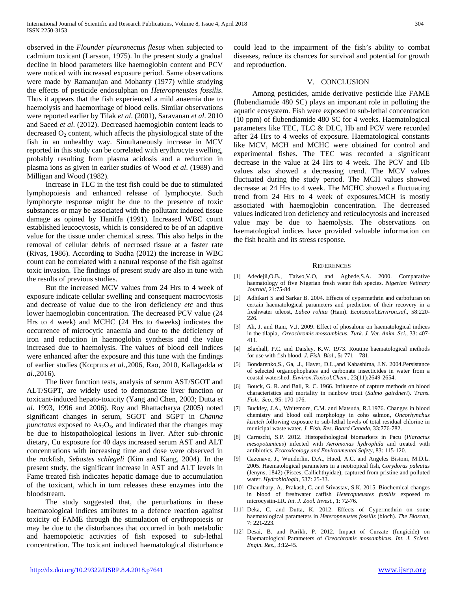observed in the *Flounder pleuronectus flesus* when subjected to cadmium toxicant (Larsson, 1975). In the present study a gradual decline in blood parameters like haemoglobin content and PCV were noticed with increased exposure period. Same observations were made by Ramanujan and Mohanty (1977) while studying the effects of pesticide endosulphan on *Heteropneustes fossilis*. Thus it appears that the fish experienced a mild anaemia due to haemolysis and haemorrhage of blood cells. Similar observations were reported earlier by Tilak *et al*. (2001), Saravanan *et al*. 2010 and Saeed *et al*. (2012). Decreased haemoglobin content leads to decreased  $O_2$  content, which affects the physiological state of the fish in an unhealthy way. Simultaneously increase in MCV reported in this study can be correlated with erythrocyte swelling, probably resulting from plasma acidosis and a reduction in plasma ions as given in earlier studies of Wood *et al*. (1989) and Milligan and Wood (1982).

 Increase in TLC in the test fish could be due to stimulated lymphopoiesis and enhanced release of lymphocyte. Such lymphocyte response might be due to the presence of toxic substances or may be associated with the pollutant induced tissue damage as opined by Haniffa (1991). Increased WBC count established leucocytosis, which is considered to be of an adaptive value for the tissue under chemical stress. This also helps in the removal of cellular debris of necrosed tissue at a faster rate (Rivas, 1986). According to Sudha (2012) the increase in WBC count can be correlated with a natural response of the fish against toxic invasion. The findings of present study are also in tune with the results of previous studies.

 But the increased MCV values from 24 Hrs to 4 week of exposure indicate cellular swelling and consequent macrocytosis and decrease of value due to the iron deficiency *etc* and thus lower haemoglobin concentration. The decreased PCV value (24 Hrs to 4 week) and MCHC (24 Hrs to 4weeks) indicates the occurrence of microcytic anaemia and due to the deficiency of iron and reduction in haemoglobin synthesis and the value increased due to haemolysis. The values of blood cell indices were enhanced after the exposure and this tune with the findings of earlier studies (Ko:pru:s *et al*.,2006, Rao, 2010, Kallagadda *et al*.,2016).

 The liver function tests, analysis of serum AST/SGOT and ALT/SGPT, are widely used to demonstrate liver function or toxicant-induced hepato-toxicity (Yang and Chen, 2003; Dutta *et al*. 1993, 1996 and 2006). Roy and Bhattacharya (2005) noted significant changes in serum, SGOT and SGPT in *Channa punctatus* exposed to  $As<sub>2</sub>O<sub>3</sub>$ , and indicated that the changes may be due to histopathological lesions in liver. After sub-chronic dietary, Cu exposure for 40 days increased serum AST and ALT concentrations with increasing time and dose were observed in the rockfish, *Sebastes schlegeli* (Kim and Kang, 2004). In the present study, the significant increase in AST and ALT levels in Fame treated fish indicates hepatic damage due to accumulation of the toxicant, which in turn releases these enzymes into the bloodstream.

 The study suggested that, the perturbations in these haematological indices attributes to a defence reaction against toxicity of FAME through the stimulation of erythropoiesis or may be due to the disturbances that occurred in both metabolic and haemopoietic activities of fish exposed to sub-lethal concentration. The toxicant induced haematological disturbance

could lead to the impairment of the fish's ability to combat diseases, reduce its chances for survival and potential for growth and reproduction.

#### V. CONCLUSION

 Among pesticides, amide derivative pesticide like FAME (flubendiamide 480 SC) plays an important role in polluting the aquatic ecosystem. Fish were exposed to sub-lethal concentration (10 ppm) of flubendiamide 480 SC for 4 weeks. Haematological parameters like TEC, TLC & DLC, Hb and PCV were recorded after 24 Hrs to 4 weeks of exposure. Haematological constants like MCV, MCH and MCHC were obtained for control and experimental fishes. The TEC was recorded a significant decrease in the value at 24 Hrs to 4 week. The PCV and Hb values also showed a decreasing trend. The MCV values fluctuated during the study period. The MCH values showed decrease at 24 Hrs to 4 week. The MCHC showed a fluctuating trend from 24 Hrs to 4 week of exposures.MCH is mostly associated with haemoglobin concentration. The decreased values indicated iron deficiency and reticulocytosis and increased value may be due to haemolysis. The observations on haematological indices have provided valuable information on the fish health and its stress response.

#### **REFERENCES**

- [1] Adedejii,O.B., Taiwo,V.O, and Agbede,S.A. 2000. Comparative haematology of five Nigerian fresh water fish species. *Nigerian Vetinary Journal*, 21:75-84
- [2] Adhikari S and Sarkar B. 2004. Effects of cypermethrin and carbofuran on certain haematological parameters and prediction of their recovery in a freshwater teleost, *Labeo rohita* (Ham). *Ecotoxicol.Environ.saf*., 58:220- 226.
- [3] Ali, J. and Rani, V.J. 2009. Effect of phosalone on haematological indices in the tilapia, *Oreochromis mossambicus*. *Turk. J. Vet. Anim. Sci*., 33: 407- 411.
- [4] Blaxhall, P.C. and Daisley, K.W. 1973. Routine haematological methods for use with fish blood. *J. Fish. Biol*., **5:** 771 – 781.
- [5] Bondarenko,S., Ga, .J., Haver, D.L.,and Kabashima, J.N. 2004.Persistance of selected organophophates and carbonate insecticides in water from a coastal watershed. *Environ.Toxicol.Chem*., 23(11):2649-2654.
- [6] Bouck, G. R. and Ball, R. C. 1966. Influence of capture methods on blood characteristics and mortality in rainbow trout (*Sulmo gairdneri*). *Trans. Fish. Sco*., 95: 170-176.
- [7] Buckley, J.A., Whitemore, C.M. and Matsuda, R.I.1976. Changes in blood chemistry and blood cell morphology in coho salmon, *Oncorhynchus kisutch* following exposure to sub-lethal levels of total residual chlorine in municipal waste water. *J. Fish. Res. Board Canada*, 33:776-782.
- [8] Carraschi, S.P. 2012. Histopathological biomarkers in Pacu (*Piaractus mesopotamicus*) infected with *Aeromonas hydrophila* and treated with antibiotics. *Ecotoxicology and Environmental Safety*, 83: 115-120.
- [9] Cazenave, J., Wunderlin, D.A., Hued, A.C. and Angeles Bistoni, M.D.L. 2005. Haematological parameters in a neotropical fish, *Corydoras paleatus* (Jenyns, 1842) (Pisces, Callichthyidae), captured from pristine and polluted water. *Hydrobiologia,* 537: 25-33.
- [10] Chaudhary, A., Prakash, C. and Srivastav, S.K. 2015. Biochemical changes in blood of freshwater catfish *Heteropneustes fossilis* exposed to microcystin-LR. *Int. J. Zool. Invest.*, 1: 72-76.
- [11] Deka, C. and Dutta, K. 2012. Effects of Cypermethrin on some haematological parameters in *Heteropneustes fossilis* (bloch). *The Bioscan*, 7: 221-223.
- [12] Desai, B. and Parikh, P. 2012. Impact of Curzate (fungicide) on Haematological Parameters of *Oreochromis mossambicus*. *Int. J. Scient. Engin. Res.*, 3:12-45.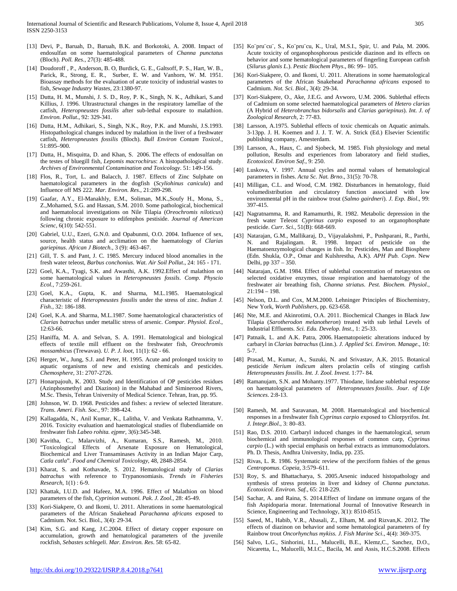- [13] Devi, P., Baruah, D., Baruah, B.K. and Borkotoki, A. 2008. Impact of endosulfan on some haematological parameters of *Channa punctatus* (Bloch). *Poll. Res.,* 27(3): 485-488.
- [14] Doudoroff , P., Anderson, B. O, Burdick, G. E., Galtsoff, P. S., Hart, W. B., Parick, R., Strong, E. R., Surber, E. W. and Vanhorn, W. M. 1951. Bioassay methods for the evaluation of acute toxicity of industrial wastes to fish, *Sewage Industry Wastes*, 23:1380-97.
- [15] Dutta, H. M., Munshi, J. S. D., Roy, P. K., Singh, N. K., Adhikari, S.and Killius, J. 1996. Ultrastructural changes in the respiratory lamellae of the catfish, *Heteropneustes fossilis* after sub-lethal exposure to malathion. *Environ. Pollut*., 92: 329-341.
- [16] Dutta, H.M., Adhikari, S., Singh, N.K., Roy, P.K. and Munshi, J.S.1993. Histopathological changes induced by malathion in the liver of a freshwater catfish, *Heteropneustes fossilis* (Bloch). *Bull Environ Contam Toxicol*., 51:895–900.
- [17] Dutta, H., Misquitta, D. and Khan, S. 2006. The effects of endosulfan on the testes of bluegill fish, *Lepomis macrochirus*: A histopathological study. *Archives of Environmental Contamination and Toxicology*. 51: 149-156.
- [18] Flos, R., Tort, L. and Balacch, J. 1987. Effects of Zinc Sulphate on haematological parameters in the dogfish (*Scyliohinus canicula*) and Influence off MS 222. *Mar. Environ. Res*., 21:289-298.
- [19] Gaafar, A.Y., El-Manakhly, E.M., Soliman, M.K.,Soufy H., Mona, S., Z.,Mohamed, S.G. and Hassan, S.M. 2010. Some pathological, biochemical and haematolocal investigations on Nile Tilapia (*Oreochromis niloticus*) following chronic exposure to edifenphos pestiside. *Journal of American Scienc,* 6(10): 542-551.
- [20] Gabriel, U.U., Ezeri, G.N.0. and Opabunmi, O.O. 2004. Influence of sex, source, health status and acclimation on the haematology of *Clarias gariepinus*. *African J Biotech.,* 3 (9): 463-467.
- [21] Gill, T. S. and Pant, J. C. 1985. Mercury induced blood anomalies in the fresh water teleost, *Barbus conchonius*. *Wat. Air Soil Pollut*., 24: 165 - 171.
- [22] Goel, K.A., Tyagi, S.K. and Awasthi, A.K. 1992. Effect of malathion on some haematological values in *Heteropneustes fossils*. *Comp. Physcio Ecol.*, 7:259-261.
- [23] Goel, K.A., Gupta, K. and Sharma, M.L.1985. Haematological characteristic of *Heteropneustes fossilis* under the stress of zinc. *Indian J. Fish.,* 32: 186-188.
- [24] Goel, K.A. and Sharma, M.L.1987. Some haematological characteristics of *Clarias batrachus* under metallic stress of arsenic. *Compar. Physiol. Ecol*., 12:63-66.
- [25] Haniffa, M. A. and Selvan, S. A. 1991. Hematological and biological effects of textile mill effluent on the freshwater fish, *Oreochromis mossambicus* (Trewavas). *U. P. J. loot,* 11(1): 62 - 66.
- [26] Herger, W., Jung, S.J. and Peter, H. 1995. Acute and prolonged toxicity to aquatic organisms of new and existing chemicals and pesticides. *Chemosphere,* 31: 2707-2726.
- [27] Honarpajouh, K. 2003. Study and Identification of OP pesticides residues (Azinphosmethyl and Diazinon) in the Mahabad and Siminerood Rivers, M.Sc. Thesis, Tehran University of Medical Science. Tehran, Iran, pp. 95.
- [28] Johnson, W. D. 1968. Pesticides and fishes: a review of selected literature. *Trans. Ameri. Fish. Soc.*, 97: 398-424.
- [29] Kallagadda, N., Anil Kumar, K., Lalitha, V. and Venkata Rathnamma, V. 2016. Toxicity evaluation and haematological studies of flubendiamide on freshwater fish *Labeo rohita. ejpmr*, 3(6):345-348.
- [30] Kavitha, C., Malarvizhi, A., Kumaran, S.S., Ramesh, M., 2010. "Toxicological Effects of Arsenate Exposure on Hematological, Biochemical and Liver Transaminases Activity in an Indian Major Carp, *Catla catla*". *Food and Chemical Toxicology*, 48, 2848-2854.
- [31] Kharat, S. and Kothavade, S. 2012. Hematological study of *Clarias batrachus* with reference to Trypanosomiasis. *Trends in Fisheries Research*, 1(1) : 6-9.
- [32] Khattak, I.U.D. and Hafeez, M.A. 1996. Effect of Malathion on blood parameters of the fish, *Cyprinion watsoni. Pak. J. Zool*., 28: 45-49.
- [33] Kori-Siakpere, O. and Ikomi, U. 2011. Alterations in some haematological parameters of the African Snakehead *Parachanna africans* exposed to Cadmium. Not. Sci. Biol., 3(4): 29-34.
- [34] Kim, S.G. and Kang, J.C.2004. Effect of dietary copper exposure on accumulation, growth and hematological parameters of the juvenile rockfish, *Sebastes schlegeli*. *Mar. Environ. Res*. 58: 65-82.
- [35] Ko¨pru¨cu¨, S., Ko¨pru¨cu, K., Ural, M.S.I., Spir, U. and Pala, M. 2006. Acute toxicity of organophosphorous pesticide diazinon and its effects on behavior and some hematological parameters of fingerling European catfish (*Silurus glanis L*.). *Pestic Biochem Phys*., 86: 99– 105.
- [36] Kori-Siakpere, O. and Ikomi, U. 2011. Alterations in some haematological parameters of the African Snakehead *Parachanna africans* exposed to Cadmium. *Not. Sci. Biol*., 3(4): 29-34.
- [37] Kori-Siakpere, O., Ake, J.E.G. and Avworo, U.M. 2006. Sublethal effects of Cadmium on some selected haematological parameters of *Hetero clarias* (A Hybrid of *Heterobranchus bidorsalis* and *Clarias gariepinus*). *Int. J. of Zoological Research*, 2: 77-83.
- [38] Larsson, A.1975. Sublethal effects of toxic chemicals on Aquatic animals. 3-13pp. J. H. Koemen and J. J. T. W. A. Strick (Ed.) Elsevier Scientific publishing company, Amesterdam.
- [39] Larsson, A., Haux, C. and Sjobeck, M. 1985. Fish physiology and metal pollution, Results and experiences from laboratory and field studies, *Ecotoxicol. Environ Saf*., 9: 250.
- [40] Luskova, V. 1997. Annual cycles and normal values of hematological parameters in fishes. *Acta Sc. Nat. Brno*., 31(5): 70-78.
- [41] Milligan, C.L. and Wood, C.M. 1982. Disturbances in hematology, fluid volumedistribution and circulatory function associated with low environmental pH in the rainbow trout (*Salmo gairdneri*). *J. Exp. Biol*., 99: 397-415.
- [42] Nagratnamma, R. and Ramamurthi, R. 1982. Metabolic depression in the fresh water Teleost *Cyprinus carpio* exposed to an organophosphate pesticide. *Curr. Sci.*, 51(B): 668-669.
- [43] Natarajan, G.M., Mallikaraj, D., Vijayalakshmi, P., Pushparani, R., Parthi, N. and Rajalingam. R. 1998. Impact of pesticide on the Haematoenzymological changes in fish. In: Pesticides, Man and Biosphere (Edn. Shukla, O.P., Omar and Kulshrestha, A.K). *APH Pub. Copn*. New Delhi, pp 337 – 350.
- [44] Natarajan, G.M. 1984. Effect of sublethal concentration of metasystox on selected oxidative enzymes, tissue respiration and haematology of the freshwater air breathing fish, *Channa striatus*. *Pest. Biochem. Physiol*., 21:194 – 198.
- [45] Nelson, D.L. and Cox, M.M.2000. Lehninger Principles of Biochemistry, New York, *Worth Publishers*, pp. 623-658.
- [46] Nte, M.E. and Akinrotimi, O.A. 2011. Biochemical Changes in Black Jaw Tilapia (*Sarotherodon melanotheron*) treated with sub lethal Levels of Industrial Effluents. *Sci. Edu. Develop. Inst*., 1: 25-33.
- [47] Patnaik, L. and A.K. Patra, 2006. Haematopoietic alterations induced by carbaryl in *Clarias batrachus* (Linn.). *J. Applied Sci. Environ. Manage*., 10: 5-7.
- [48] Prasad, M., Kumar, A., Suzuki, N. and Srivastav, A.K. 2015. Botanical pesticide *Nerium indicum* alters prolactin cells of stinging catfish *Heteropneustes fossilis*. *Int. J. Zool. Invest.* 1:77- 84.
- [49] Ramanujam, S.N. and Mohanty.1977. Thiodane, lindane sublethal response on haematological parameters of *Heteropneustes fossilis*. *Jour. of Life Sciences*. 2:8-13.
- [50] Ramesh, M. and Saravanan, M. 2008. Haematological and biochemical responses in a freshwater fish *Cyprinus carpio* exposed to Chlorpyrifos. *Int. J. Integr.Biol*., 3: 80–83.
- [51] Rao, D.S. 2010. Carbaryl induced changes in the haematological, serum biochemical and immunological responses of common carp, *Cyprinus carpio* (L.) with special emphasis on herbal extracts as immunomodulators. Ph. D. Thesis, Andhra University, India, pp. 235.
- [52] Rivas, L. R. 1986. Systematic review of the perciform fishies of the genus *Centropomus*. *Copeia,* 3:579–611.
- [53] Roy, S. and Bhattacharya, S. 2005.Arsenic induced histopathology and synthesis of stress proteins in liver and kidney of *Channa punctatus*. *Ecotoxicol. Environ. Saf.*, 65: 218-229.
- [54] Sachar, A. and Raina, S. 2014.Effect of lindane on immune organs of the fish Aspidoparia morar. International Journal of Innovative Research in Science, Engineering and Technology, 3(1): 8510-8515.
- [55] Saeed, M., Habib, V.R., Abasali, Z., Elham, M. and Rizvan, K. 2012. The effects of diazinon on behavior and some hematological parameters of fry Rainbow trout *Oncorhynchus mykiss. J. Fish Marine Sci*., 4(4): 369-375.
- [56] Salvo, L.G., Sinhorini, I.L., Malucelli, B.E., Klemz,C., Sanchez, D.O., Nicaretta, L., Malucelli, M.I.C., Bacila, M. and Assis, H.C.S.2008. Effects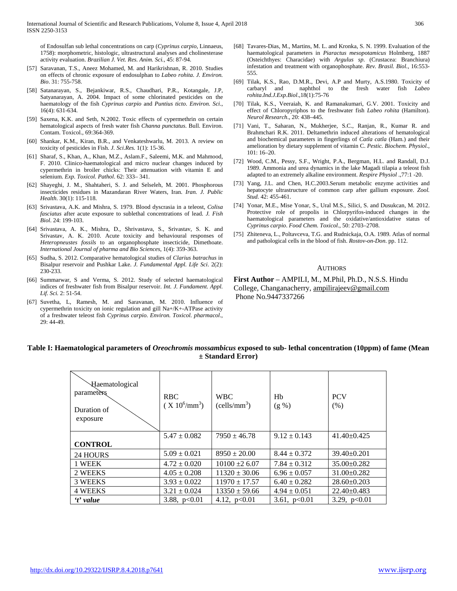of Endosulfan sub lethal concentrations on carp (*Cyprinus carpio*, Linnaeus, 1758): morphometric, histologic, ultrastructural analyses and cholinesterase activity evaluation. *Brazilian J. Vet. Res. Anim. Sci.,* 45: 87-94.

- [57] Saravanan, T.S., Aneez Mohamed, M. and Harikrishnan, R. 2010. Studies on effects of chronic exposure of endosulphan to *Labeo rohita*. *J. Environ. Bio*. 31: 755-758.
- [58] Satanarayan, S., Bejankiwar, R.S., Chaudhari, P.R., Kotangale, J.P, Satyanarayan, A. 2004. Impact of some chlorinated pesticides on the haematology of the fish *Cyprinus carpio* and *Puntius ticto*. *Environ. Sci*., 16(4): 631-634.
- [59] Saxena, K.K. and Seth, N.2002. Toxic effects of cypermethrin on certain hematological aspects of fresh water fish *Channa punctatus*. Bull. Environ. Contam. Toxicol., 69:364-369.
- [60] Shankar, K.M., Kiran, B.R., and Venkateshwarlu, M. 2013. A review on toxicity of pesticides in Fish. *J. Sci.Res.* 1(1): 15-36.
- [61] Sharaf, S., Khan, A., Khan, M.Z., Aslam.F., Saleemi, M.K. and Mahmood, F. 2010. Clinico-haematological and micro nuclear changes induced by cypermethrin in broiler chicks: Their attenuation with vitamin E and selenium. *Exp. Toxicol. Pathol*. 62: 333– 341.
- [62] Shayeghi, J. M., Shahtaheri, S. J. and Selseleh, M. 2001. Phosphorous insecticides residues in Mazandaran River Waters, Iran. *Iran. J. Public Health*. 30(1): 115-118.
- [63] Srivastava, A.K. and Mishra, S. 1979. Blood dyscrasia in a teleost, *Colisa fasciatus* after acute exposure to sublethal concentrations of lead. *J. Fish Biol*. 24: 199-103.
- [64] Srivastava, A. K., Mishra, D., Shrivastava, S., Srivastav, S. K. and Srivastav, A. K. 2010. Acute toxicity and behavioural responses of *Heteropneustes fossils* to an organophosphate insecticide, Dimethoate. *International Journal of pharma and Bio Sciences*, 1(4): 359-363.
- [65] Sudha, S. 2012. Comparative hematological studies of *Clarius batrachus* in Bisalpur reservoir and Pushkar Lake. *J. Fundamental Appl. Life Sci*. 2(2): 230-233.
- [66] Summarwar, S and Verma, S. 2012. Study of selected haematological indices of freshwater fish from Bisalpur reservoir. *Int. J. Fundament. Appl. Lif. Sci.* 2: 51-54.
- [67] Suvetha, L, Ramesh, M. and Saravanan, M. 2010. Influence of cypermethrin toxicity on ionic regulation and gill Na+/K+-ATPase activity of a freshwater teleost fish *Cyprinus carpio. Environ. Toxicol. pharmacol*., 29: 44-49.
- [68] Tavares-Dias, M., Martins, M. L. and Kronka, S. N. 1999. Evaluation of the haematological parameters in *Piaractus mesopotamicus* Holmberg, 1887 (Osteichthyes: Characidae) with *Argulus sp*. (Crustacea: Branchiura) infestation and treatment with organophosphate. *Rev. Brasil. Biol.*, 16:553- 555.
- [69] Tilak, K.S., Rao, D.M.R., Devi, A.P and Murty, A.S.1980. Toxicity of carbaryl and naphthol to the fresh water fish Labeo naphthol to the fresh water fish *Labeo rohita*.*Ind.J.Exp.Biol*.,18(1):75-76
- [70] Tilak, K.S., Veeraiah, K. and Ramanakumari, G.V. 2001. Toxicity and effect of Chloropyriphos to the freshwater fish *Labeo rohita* (Hamilton). *Neurol Research*., 20: 438–445.
- [71] Vani, T., Saharan, N., Mukherjee, S.C., Ranjan, R., Kumar R. and Brahmchari R.K. 2011. Deltamethrin induced alterations of hematological and biochemical parameters in fingerlings of *Catla catla* (Ham.) and their amelioration by dietary supplement of vitamin C. *Pestic. Biochem. Physiol.*, 101: 16–20.
- [72] Wood, C.M., Pessy, S.F., Wright, P.A., Bergman, H.L. and Randall, D.J. 1989. Ammonia and urea dynamics in the lake Magadi tilapia a teleost fish adapted to an extremely alkaline environment. *Respire Physiol* .,77:1 -20.
- [73] Yang, J.L. and Chen, H.C.2003.Serum metabolic enzyme activities and hepatocyte ultrastructure of common carp after gallium exposure. *Zool. Stud.* 42: 455-461.
- [74] Yonar, M.E., Mise Yonar, S., Ural M.S., Silici, S. and Dusukcan, M. 2012. Protective role of propolis in Chlorpyrifos-induced changes in the haematological parameters and the oxidative/antioxidative status of *Cyprinus carpio*. *Food Chem. Toxicol*., 50: 2703–2708.
- [75] Zhiteneva, L., Poltavceva, T.G. and Rudnickaja, O.A. 1989. Atlas of normal and pathological cells in the blood of fish. *Rostov-on-Don*. pp. 112.

#### AUTHORS

**First Author** – AMPILI, M., M.Phil, Ph.D., N.S.S. Hindu College, Changanacherry, ampilirajeev@gmail.com Phone No.9447337266

## **Table I: Haematological parameters of** *Oreochromis mossambicus* **exposed to sub- lethal concentration (10ppm) of fame (Mean ± Standard Error)**

| Haematological<br>parameters<br>Duration of<br>exposure | <b>RBC</b><br>$(X 10^6/\text{mm}^3)$ | <b>WBC</b><br>(cells/mm <sup>3</sup> ) | Hb<br>(g %)      | <b>PCV</b><br>(% ) |
|---------------------------------------------------------|--------------------------------------|----------------------------------------|------------------|--------------------|
|                                                         | $5.47 \pm 0.082$                     | $7950 \pm 46.78$                       | $9.12 \pm 0.143$ | $41.40 \pm 0.425$  |
| <b>CONTROL</b>                                          |                                      |                                        |                  |                    |
| 24 HOURS                                                | $5.09 \pm 0.021$                     | $8950 \pm 20.00$                       | $8.44 \pm 0.372$ | $39.40 \pm 0.201$  |
| 1 WEEK                                                  | $4.72 \pm 0.020$                     | $10100 \pm 26.07$                      | $7.84 \pm 0.312$ | $35.00 \pm 0.282$  |
| 2 WEEKS                                                 | $4.05 \pm 0.208$                     | $11320 \pm 30.06$                      | $6.96 \pm 0.057$ | $31.00 \pm 0.282$  |
| 3 WEEKS                                                 | $3.93 \pm 0.022$                     | $11970 \pm 17.57$                      | $6.40 \pm 0.282$ | $28.60 \pm 0.203$  |
| 4 WEEKS                                                 | $3.21 \pm 0.024$                     | $13350 \pm 59.66$                      | $4.94 \pm 0.051$ | $22.40 \pm 0.483$  |
| 't' value                                               | 3.88, $p<0.01$                       | 4.12, $p<0.01$                         | 3.61, $p<0.01$   | 3.29, $p<0.01$     |